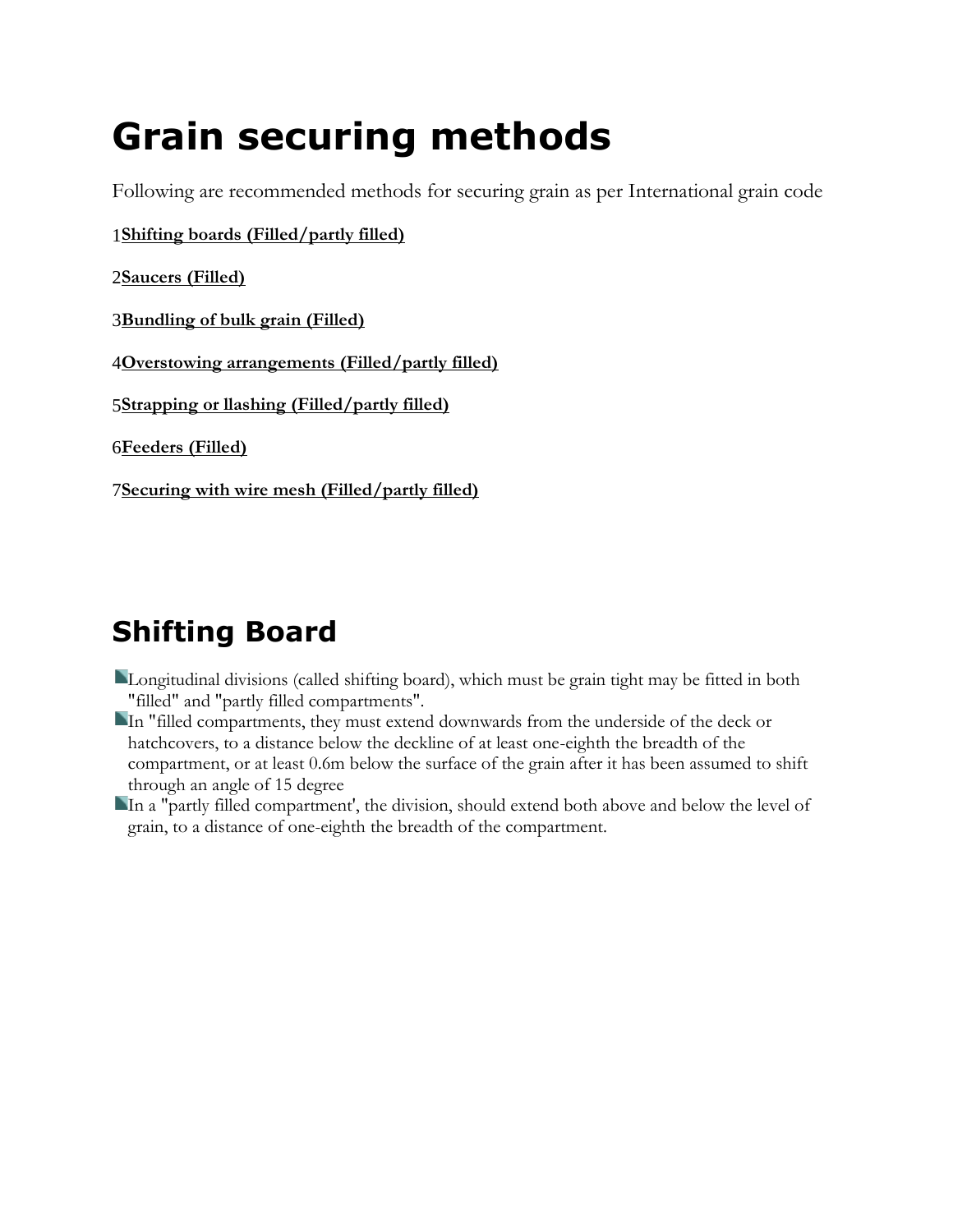# **Grain securing methods**

Following are recommended methods for securing grain as per International grain code

1**[Shifting boards \(Filled/partly filled\)](http://www.geocities.ws/mpaoral/ch23/grain_securing.htm#Shifting_Board)**

2**[Saucers \(Filled\)](http://www.geocities.ws/mpaoral/ch23/grain_securing.htm#Saucers)**

3**[Bundling of bulk grain \(Filled\)](http://www.geocities.ws/mpaoral/ch23/grain_securing.htm#Bundling_of_bulk grain)**

4**[Overstowing arrangements \(Filled/partly filled\)](http://www.geocities.ws/mpaoral/ch23/grain_securing.htm#Overstowing_arrangements)**

5**[Strapping or llashing \(Filled/partly filled\)](http://www.geocities.ws/mpaoral/ch23/grain_securing.htm#Strapping_or_lashing)**

6**[Feeders \(Filled\)](http://www.geocities.ws/mpaoral/ch23/grain_securing.htm#Feeders)**

7**[Securing with wire mesh \(Filled/partly filled\)](http://www.geocities.ws/mpaoral/ch23/grain_securing.htm#Securing_with_wire_mesh)**

# **Shifting Board**

- Longitudinal divisions (called shifting board), which must be grain tight may be fitted in both "filled" and "partly filled compartments".
- In "filled compartments, they must extend downwards from the underside of the deck or hatchcovers, to a distance below the deckline of at least one-eighth the breadth of the compartment, or at least 0.6m below the surface of the grain after it has been assumed to shift through an angle of 15 degree
- In a "partly filled compartment', the division, should extend both above and below the level of grain, to a distance of one-eighth the breadth of the compartment.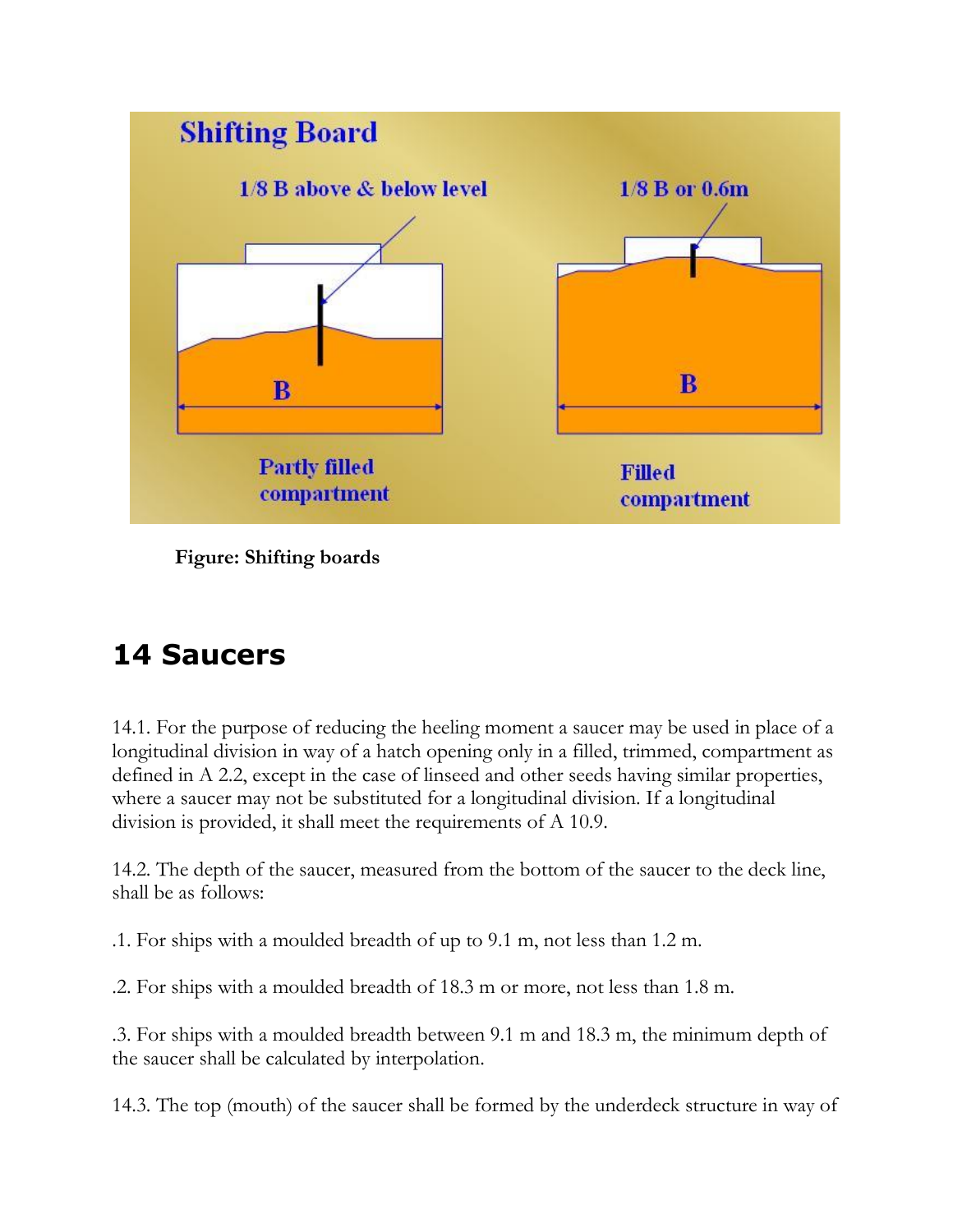

**Figure: Shifting boards**

# **14 Saucers**

14.1. For the purpose of reducing the heeling moment a saucer may be used in place of a longitudinal division in way of a hatch opening only in a filled, trimmed, compartment as defined in A 2.2, except in the case of linseed and other seeds having similar properties, where a saucer may not be substituted for a longitudinal division. If a longitudinal division is provided, it shall meet the requirements of A 10.9.

14.2. The depth of the saucer, measured from the bottom of the saucer to the deck line, shall be as follows:

.1. For ships with a moulded breadth of up to 9.1 m, not less than 1.2 m.

.2. For ships with a moulded breadth of 18.3 m or more, not less than 1.8 m.

.3. For ships with a moulded breadth between 9.1 m and 18.3 m, the minimum depth of the saucer shall be calculated by interpolation.

14.3. The top (mouth) of the saucer shall be formed by the underdeck structure in way of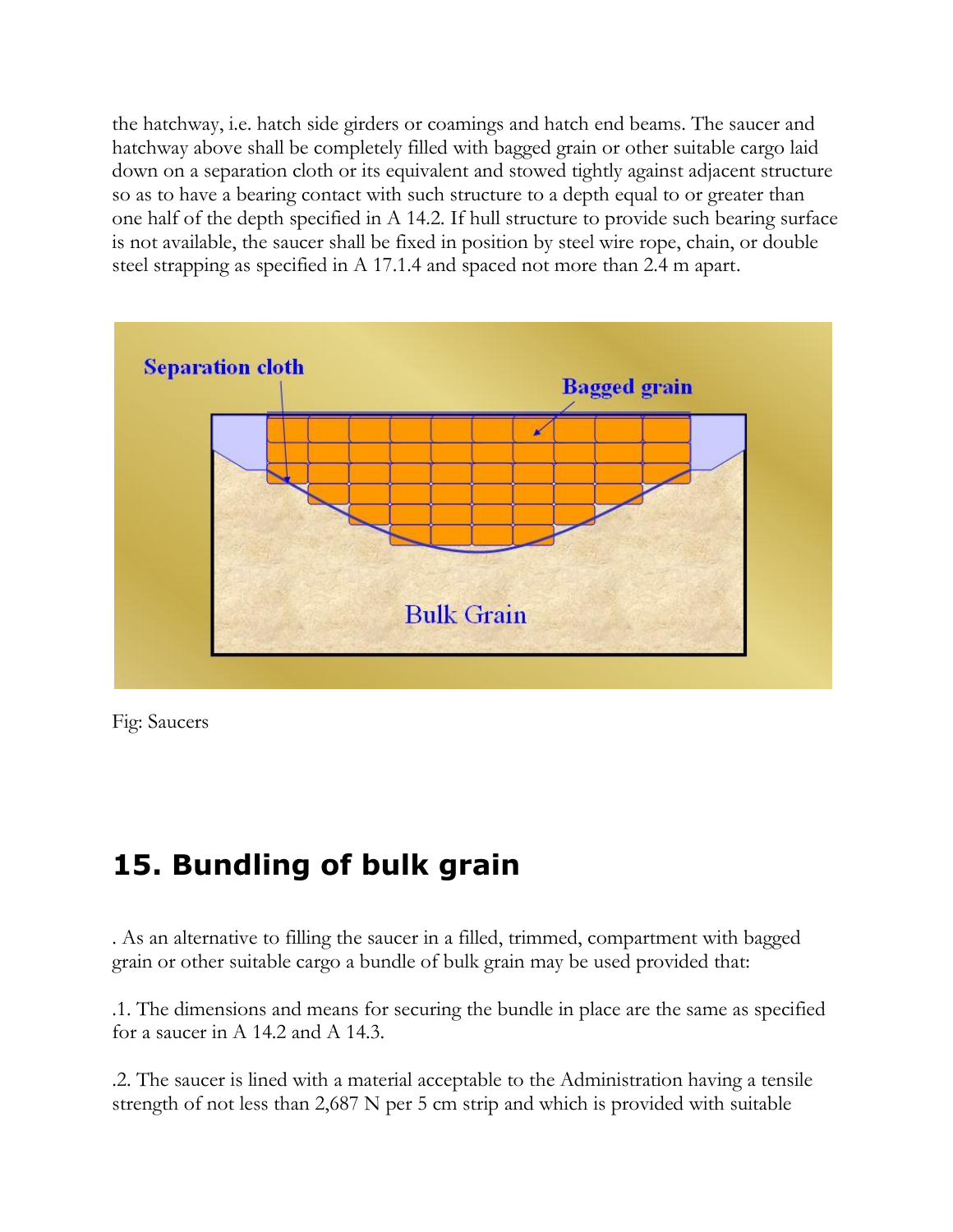the hatchway, i.e. hatch side girders or coamings and hatch end beams. The saucer and hatchway above shall be completely filled with bagged grain or other suitable cargo laid down on a separation cloth or its equivalent and stowed tightly against adjacent structure so as to have a bearing contact with such structure to a depth equal to or greater than one half of the depth specified in A 14.2. If hull structure to provide such bearing surface is not available, the saucer shall be fixed in position by steel wire rope, chain, or double steel strapping as specified in A 17.1.4 and spaced not more than 2.4 m apart.



Fig: Saucers

#### **15. Bundling of bulk grain**

. As an alternative to filling the saucer in a filled, trimmed, compartment with bagged grain or other suitable cargo a bundle of bulk grain may be used provided that:

.1. The dimensions and means for securing the bundle in place are the same as specified for a saucer in A 14.2 and A 14.3.

.2. The saucer is lined with a material acceptable to the Administration having a tensile strength of not less than 2,687 N per 5 cm strip and which is provided with suitable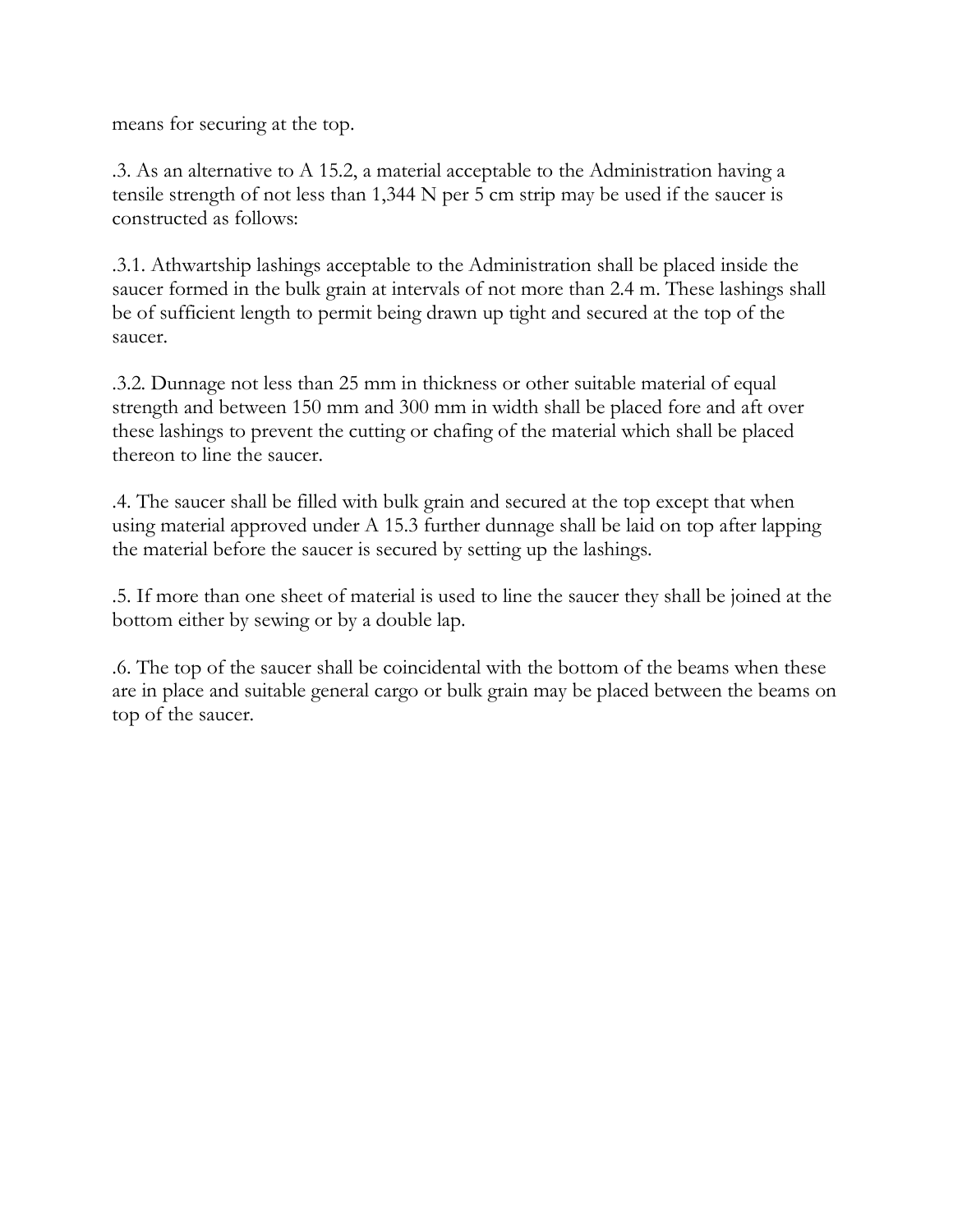means for securing at the top.

.3. As an alternative to A 15.2, a material acceptable to the Administration having a tensile strength of not less than 1,344 N per 5 cm strip may be used if the saucer is constructed as follows:

.3.1. Athwartship lashings acceptable to the Administration shall be placed inside the saucer formed in the bulk grain at intervals of not more than 2.4 m. These lashings shall be of sufficient length to permit being drawn up tight and secured at the top of the saucer.

.3.2. Dunnage not less than 25 mm in thickness or other suitable material of equal strength and between 150 mm and 300 mm in width shall be placed fore and aft over these lashings to prevent the cutting or chafing of the material which shall be placed thereon to line the saucer.

.4. The saucer shall be filled with bulk grain and secured at the top except that when using material approved under A 15.3 further dunnage shall be laid on top after lapping the material before the saucer is secured by setting up the lashings.

.5. If more than one sheet of material is used to line the saucer they shall be joined at the bottom either by sewing or by a double lap.

.6. The top of the saucer shall be coincidental with the bottom of the beams when these are in place and suitable general cargo or bulk grain may be placed between the beams on top of the saucer.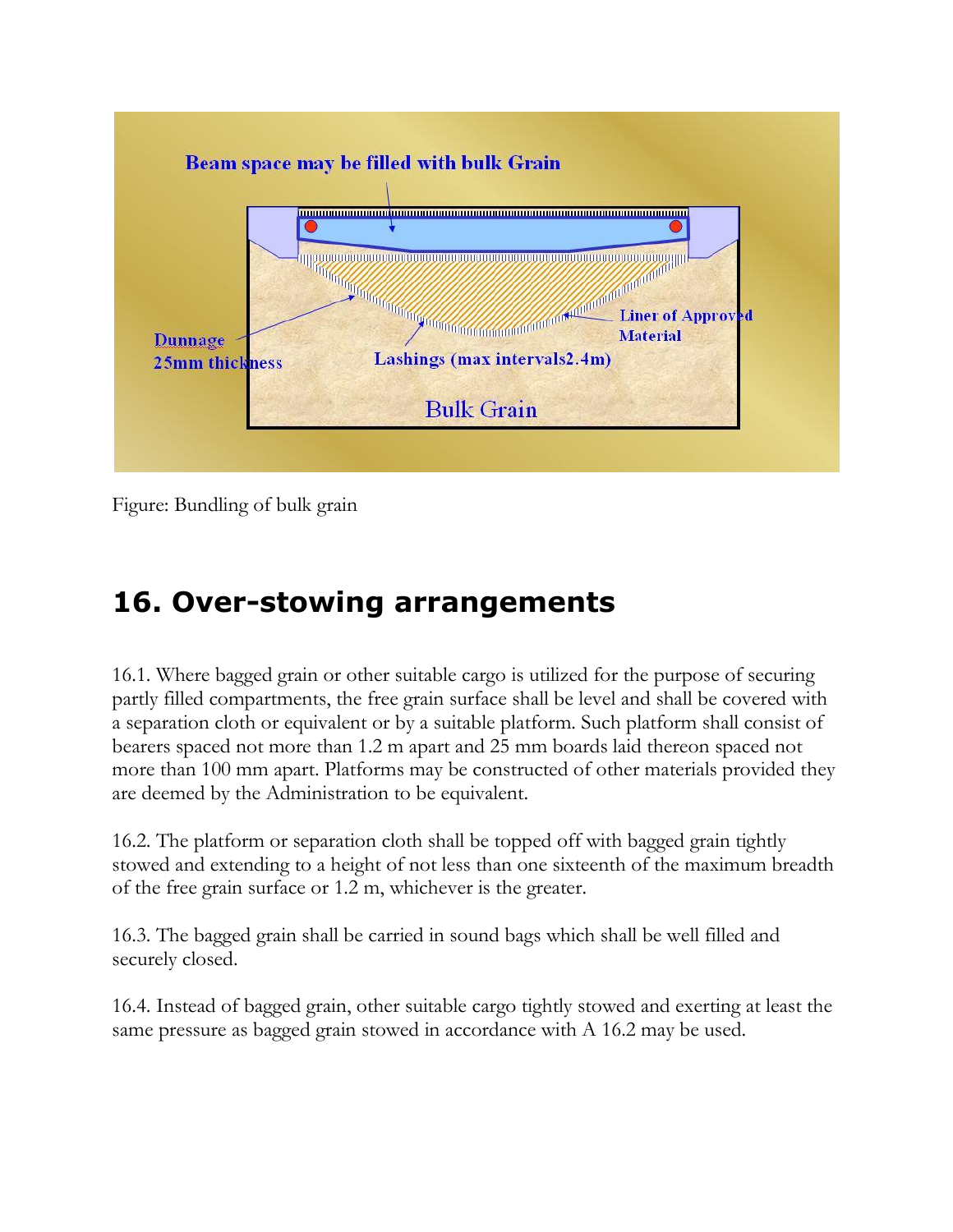

Figure: Bundling of bulk grain

### **16. Over-stowing arrangements**

16.1. Where bagged grain or other suitable cargo is utilized for the purpose of securing partly filled compartments, the free grain surface shall be level and shall be covered with a separation cloth or equivalent or by a suitable platform. Such platform shall consist of bearers spaced not more than 1.2 m apart and 25 mm boards laid thereon spaced not more than 100 mm apart. Platforms may be constructed of other materials provided they are deemed by the Administration to be equivalent.

16.2. The platform or separation cloth shall be topped off with bagged grain tightly stowed and extending to a height of not less than one sixteenth of the maximum breadth of the free grain surface or 1.2 m, whichever is the greater.

16.3. The bagged grain shall be carried in sound bags which shall be well filled and securely closed.

16.4. Instead of bagged grain, other suitable cargo tightly stowed and exerting at least the same pressure as bagged grain stowed in accordance with A 16.2 may be used.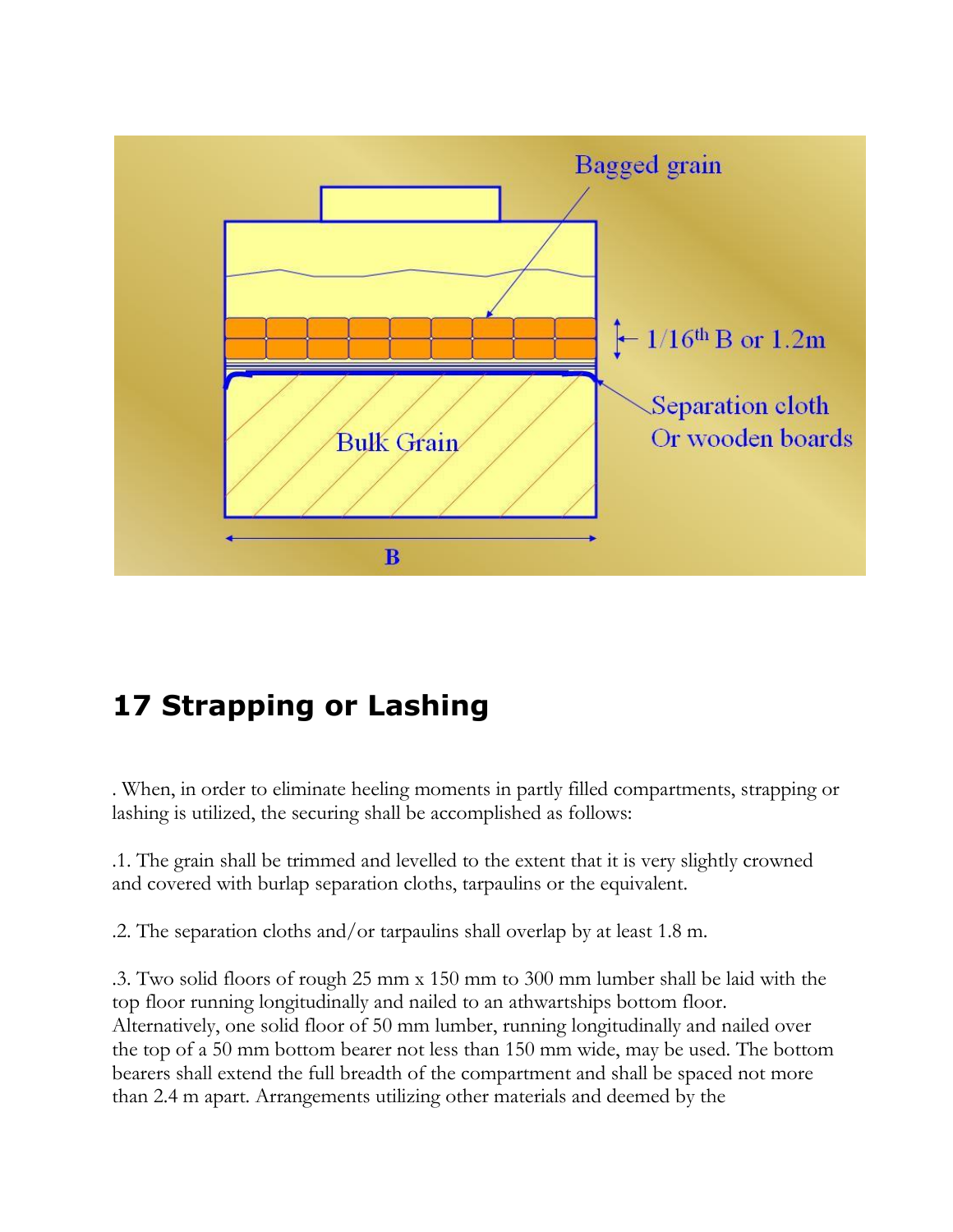

# **17 Strapping or Lashing**

. When, in order to eliminate heeling moments in partly filled compartments, strapping or lashing is utilized, the securing shall be accomplished as follows:

.1. The grain shall be trimmed and levelled to the extent that it is very slightly crowned and covered with burlap separation cloths, tarpaulins or the equivalent.

.2. The separation cloths and/or tarpaulins shall overlap by at least 1.8 m.

.3. Two solid floors of rough 25 mm x 150 mm to 300 mm lumber shall be laid with the top floor running longitudinally and nailed to an athwartships bottom floor. Alternatively, one solid floor of 50 mm lumber, running longitudinally and nailed over the top of a 50 mm bottom bearer not less than 150 mm wide, may be used. The bottom bearers shall extend the full breadth of the compartment and shall be spaced not more than 2.4 m apart. Arrangements utilizing other materials and deemed by the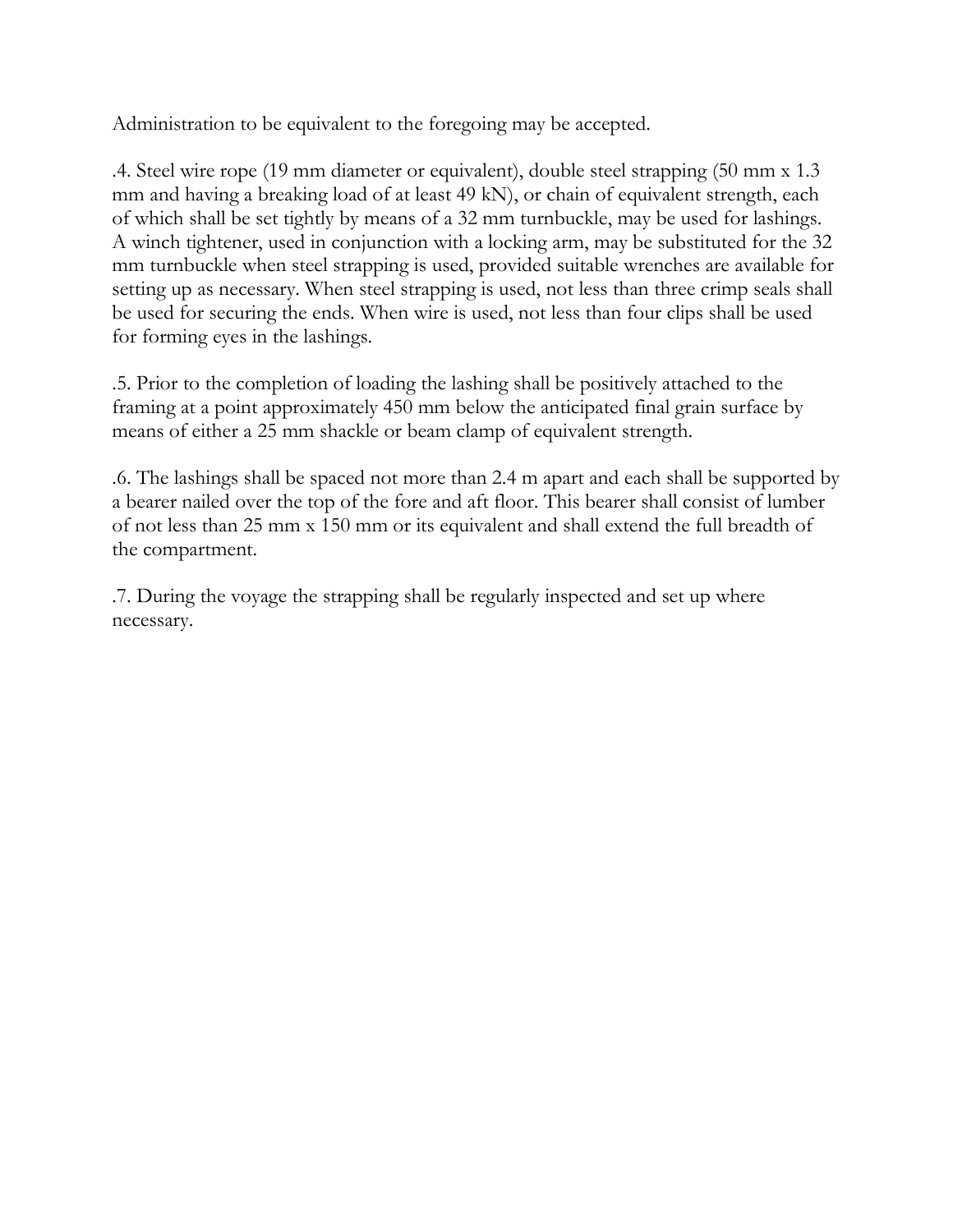Administration to be equivalent to the foregoing may be accepted.

.4. Steel wire rope (19 mm diameter or equivalent), double steel strapping (50 mm x 1.3 mm and having a breaking load of at least 49 kN), or chain of equivalent strength, each of which shall be set tightly by means of a 32 mm turnbuckle, may be used for lashings. A winch tightener, used in conjunction with a locking arm, may be substituted for the 32 mm turnbuckle when steel strapping is used, provided suitable wrenches are available for setting up as necessary. When steel strapping is used, not less than three crimp seals shall be used for securing the ends. When wire is used, not less than four clips shall be used for forming eyes in the lashings.

.5. Prior to the completion of loading the lashing shall be positively attached to the framing at a point approximately 450 mm below the anticipated final grain surface by means of either a 25 mm shackle or beam clamp of equivalent strength.

.6. The lashings shall be spaced not more than 2.4 m apart and each shall be supported by a bearer nailed over the top of the fore and aft floor. This bearer shall consist of lumber of not less than 25 mm x 150 mm or its equivalent and shall extend the full breadth of the compartment.

.7. During the voyage the strapping shall be regularly inspected and set up where necessary.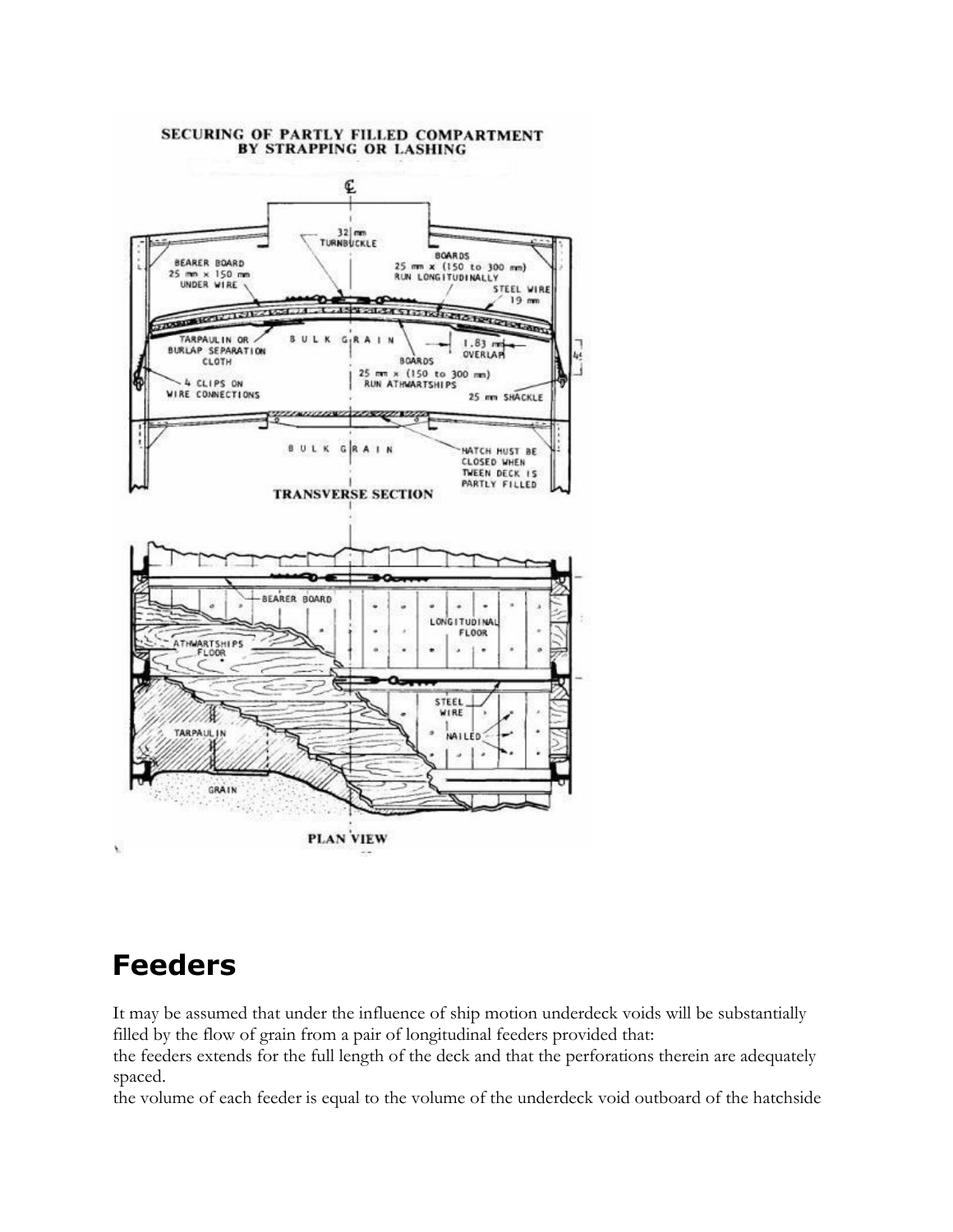

#### SECURING OF PARTLY FILLED COMPARTMENT BY STRAPPING OR LASHING

#### **Feeders**

ý,

It may be assumed that under the influence of ship motion underdeck voids will be substantially filled by the flow of grain from a pair of longitudinal feeders provided that:

the feeders extends for the full length of the deck and that the perforations therein are adequately spaced.

the volume of each feeder is equal to the volume of the underdeck void outboard of the hatchside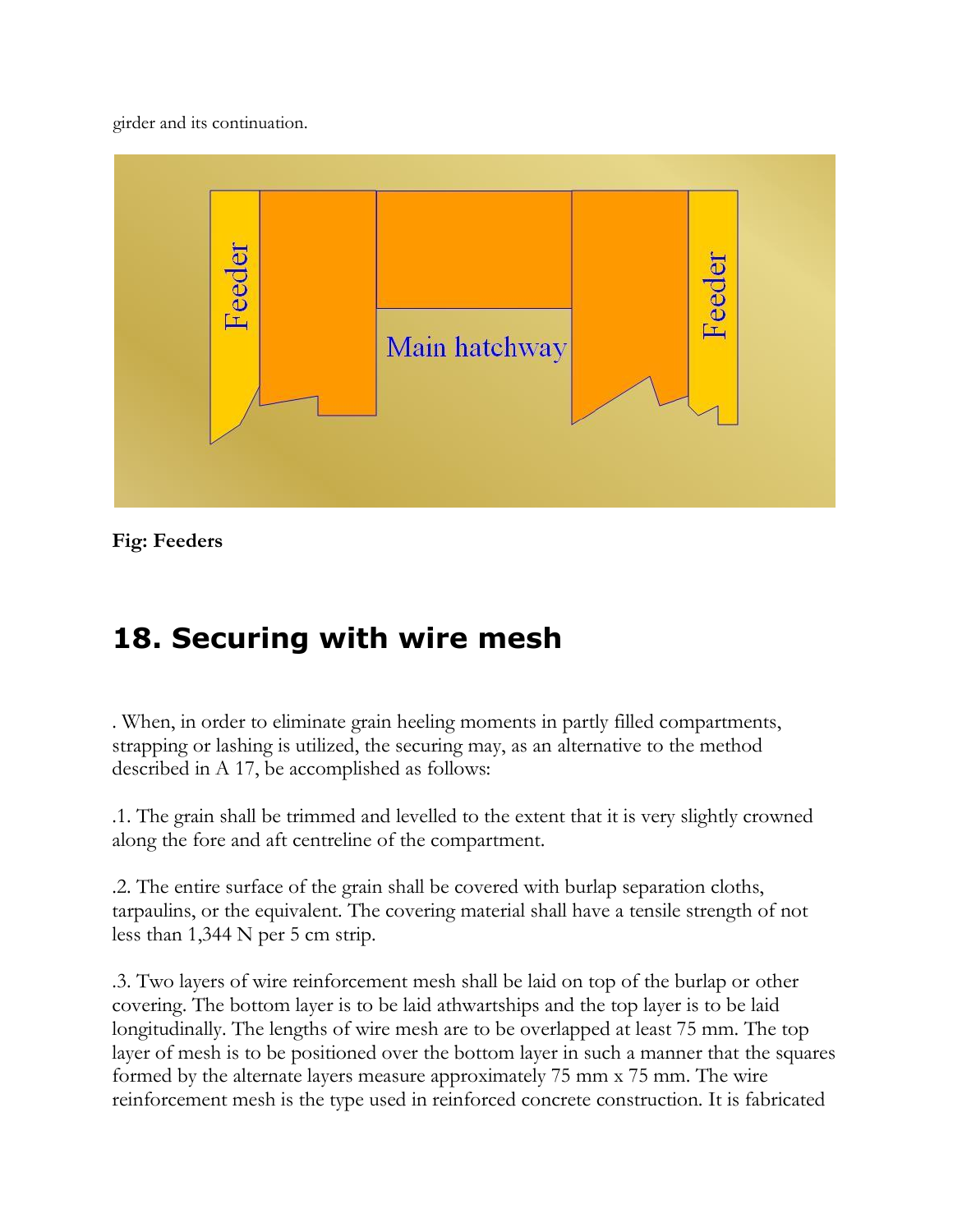girder and its continuation.



**Fig: Feeders**

# **18. Securing with wire mesh**

. When, in order to eliminate grain heeling moments in partly filled compartments, strapping or lashing is utilized, the securing may, as an alternative to the method described in A 17, be accomplished as follows:

.1. The grain shall be trimmed and levelled to the extent that it is very slightly crowned along the fore and aft centreline of the compartment.

.2. The entire surface of the grain shall be covered with burlap separation cloths, tarpaulins, or the equivalent. The covering material shall have a tensile strength of not less than 1,344 N per 5 cm strip.

.3. Two layers of wire reinforcement mesh shall be laid on top of the burlap or other covering. The bottom layer is to be laid athwartships and the top layer is to be laid longitudinally. The lengths of wire mesh are to be overlapped at least 75 mm. The top layer of mesh is to be positioned over the bottom layer in such a manner that the squares formed by the alternate layers measure approximately 75 mm x 75 mm. The wire reinforcement mesh is the type used in reinforced concrete construction. It is fabricated